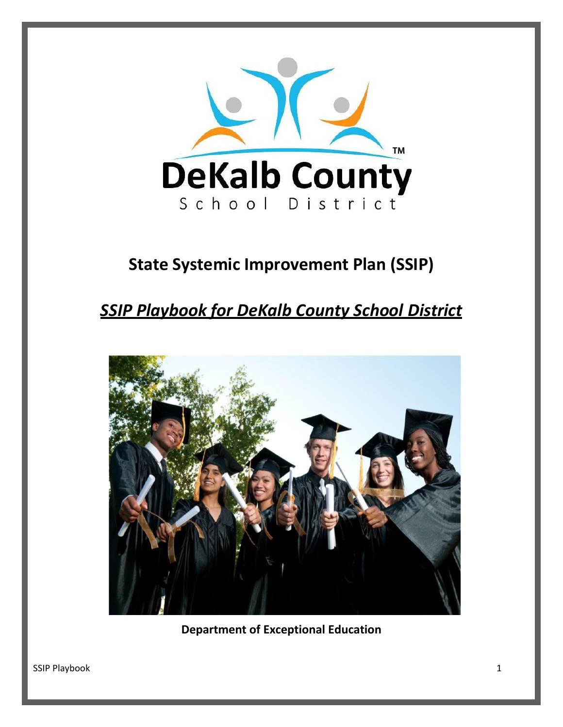

# **State Systemic Improvement Plan (SSIP)**

# *SSIP Playbook for DeKalb County School District*



**Department of Exceptional Education**

SSIP Playbook 1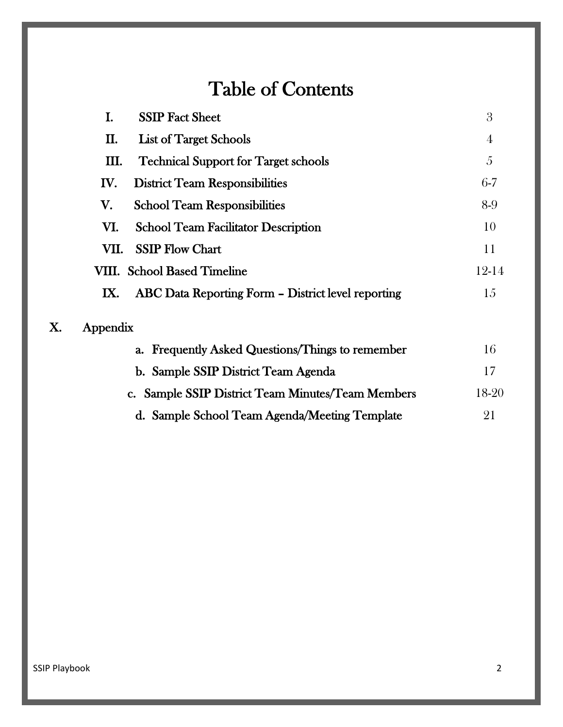# Table of Contents

|    | I.       | <b>SSIP Fact Sheet</b>                             | 3              |
|----|----------|----------------------------------------------------|----------------|
|    | П.       | <b>List of Target Schools</b>                      | $\overline{4}$ |
|    | Ш.       | <b>Technical Support for Target schools</b>        | 5              |
|    | IV.      | <b>District Team Responsibilities</b>              | $6-7$          |
|    | V.       | <b>School Team Responsibilities</b>                | 8-9            |
|    | VI.      | <b>School Team Facilitator Description</b>         | 10             |
|    | VII.     | <b>SSIP Flow Chart</b>                             | 11             |
|    |          | <b>VIII.</b> School Based Timeline                 | 12-14          |
|    | IX.      | ABC Data Reporting Form - District level reporting | 15             |
| X. | Appendix |                                                    |                |
|    |          | a. Frequently Asked Questions/Things to remember   | 16             |
|    |          | b. Sample SSIP District Team Agenda                | 17             |
|    |          | c. Sample SSIP District Team Minutes/Team Members  | 18-20          |
|    |          | d. Sample School Team Agenda/Meeting Template      | 21             |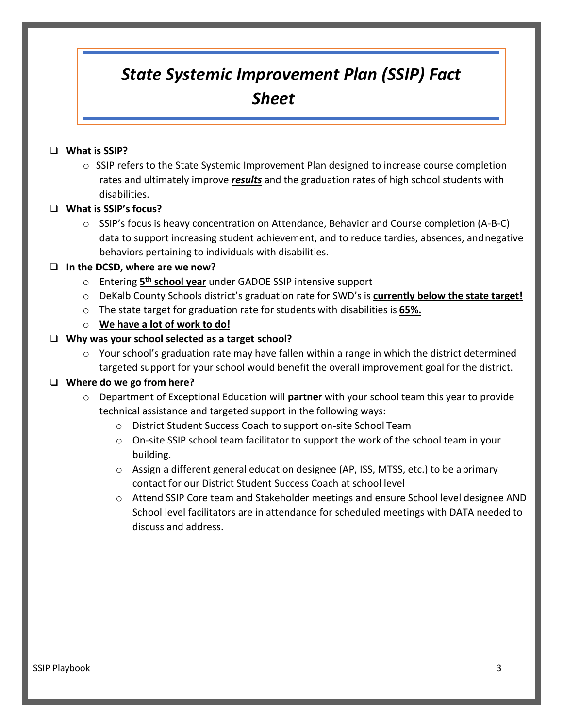# *State Systemic Improvement Plan (SSIP) Fact Sheet*

#### ❑ **What is SSIP?**

 $\circ$  SSIP refers to the State Systemic Improvement Plan designed to increase course completion rates and ultimately improve *results* and the graduation rates of high school students with disabilities.

#### ❑ **What is SSIP's focus?**

 $\circ$  SSIP's focus is heavy concentration on Attendance, Behavior and Course completion (A-B-C) data to support increasing student achievement, and to reduce tardies, absences, andnegative behaviors pertaining to individuals with disabilities.

#### ❑ **In the DCSD, where are we now?**

- o Entering **5 th school year** under GADOE SSIP intensive support
- o DeKalb County Schools district's graduation rate for SWD's is **currently below the state target!**
- o The state target for graduation rate for students with disabilities is **65%.**
- o **We have a lot of work to do!**

#### ❑ **Why was your school selected as a target school?**

o Your school's graduation rate may have fallen within a range in which the district determined targeted support for your school would benefit the overall improvement goal for the district.

#### ❑ **Where do we go from here?**

- o Department of Exceptional Education will **partner** with your school team this year to provide technical assistance and targeted support in the following ways:
	- o District Student Success Coach to support on-site School Team
	- $\circ$  On-site SSIP school team facilitator to support the work of the school team in your building.
	- o Assign a different general education designee (AP, ISS, MTSS, etc.) to be aprimary contact for our District Student Success Coach at school level
	- o Attend SSIP Core team and Stakeholder meetings and ensure School level designee AND School level facilitators are in attendance for scheduled meetings with DATA needed to discuss and address.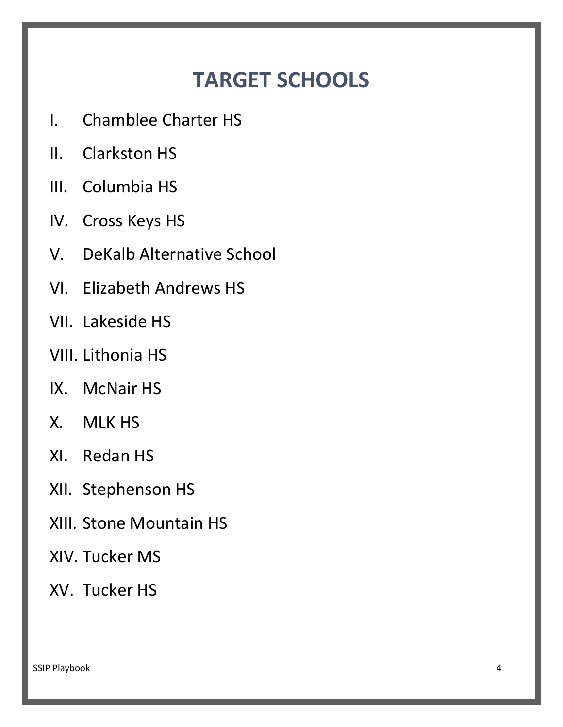# **TARGET SCHOOLS**

- I. Chamblee Charter HS
- II. Clarkston HS
- III. Columbia HS
- IV. Cross Keys HS
- V. DeKalb Alternative School
- VI. Elizabeth Andrews HS
- VII. Lakeside HS
- VIII. Lithonia HS
- IX. McNair HS
- X. MLK HS
- XI. Redan HS
- XII. Stephenson HS
- XIII. Stone Mountain HS
- XIV. Tucker MS
- XV. Tucker HS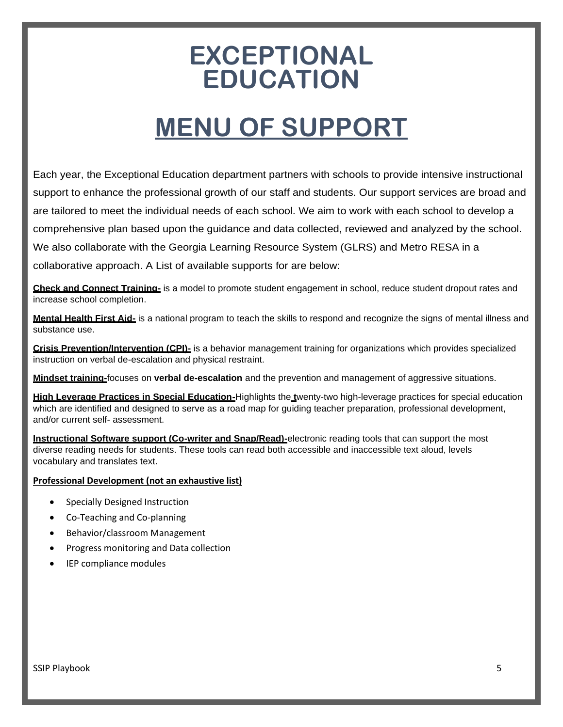# **EXCEPTIONAL EDUCATION**

# **MENU OF SUPPORT**

Each year, the Exceptional Education department partners with schools to provide intensive instructional support to enhance the professional growth of our staff and students. Our support services are broad and are tailored to meet the individual needs of each school. We aim to work with each school to develop a comprehensive plan based upon the guidance and data collected, reviewed and analyzed by the school. We also collaborate with the Georgia Learning Resource System (GLRS) and Metro RESA in a collaborative approach. A List of available supports for are below:

**Check and Connect Training-** is a model to promote student engagement in school, reduce student dropout rates and increase school completion.

**Mental Health First Aid-** is a national program to teach the skills to respond and recognize the signs of mental illness and substance use.

**Crisis Prevention/Intervention (CPI)-** is a behavior management training for organizations which provides specialized instruction on verbal de-escalation and physical restraint.

**Mindset training-**focuses on **verbal de-escalation** and the prevention and management of aggressive situations.

**High Leverage Practices in Special Education-**Highlights the **t**wenty-two high-leverage practices for special education which are identified and designed to serve as a road map for guiding teacher preparation, professional development, and/or current self- assessment.

**Instructional Software support (Co-writer and Snap/Read)-**electronic reading tools that can support the most diverse reading needs for students. These tools can read both accessible and inaccessible text aloud, levels vocabulary and translates text.

#### **Professional Development (not an exhaustive list)**

- Specially Designed Instruction
- Co-Teaching and Co-planning
- Behavior/classroom Management
- Progress monitoring and Data collection
- IEP compliance modules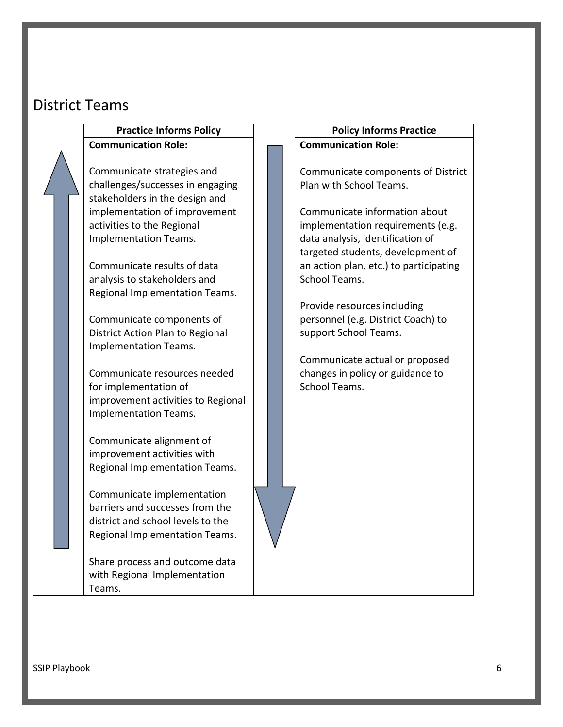# District Teams

# **Communication Role:**

Communicate strategies and challenges/successes in engaging stakeholders in the design and implementation of improvement activities to the Regional Implementation Teams.

Communicate results of data analysis to stakeholders and Regional Implementation Teams.

Communicate components of District Action Plan to Regional Implementation Teams.

Communicate resources needed for implementation of improvement activities to Regional Implementation Teams.

Communicate alignment of improvement activities with Regional Implementation Teams.

Communicate implementation barriers and successes from the district and school levels to the Regional Implementation Teams.

Share process and outcome data with Regional Implementation Teams.

#### **Practice Informs Policy Policy Informs Practice Communication Role:**

Communicate components of District Plan with School Teams.

Communicate information about implementation requirements (e.g. data analysis, identification of targeted students, development of an action plan, etc.) to participating School Teams.

Provide resources including personnel (e.g. District Coach) to support School Teams.

Communicate actual or proposed changes in policy or guidance to School Teams.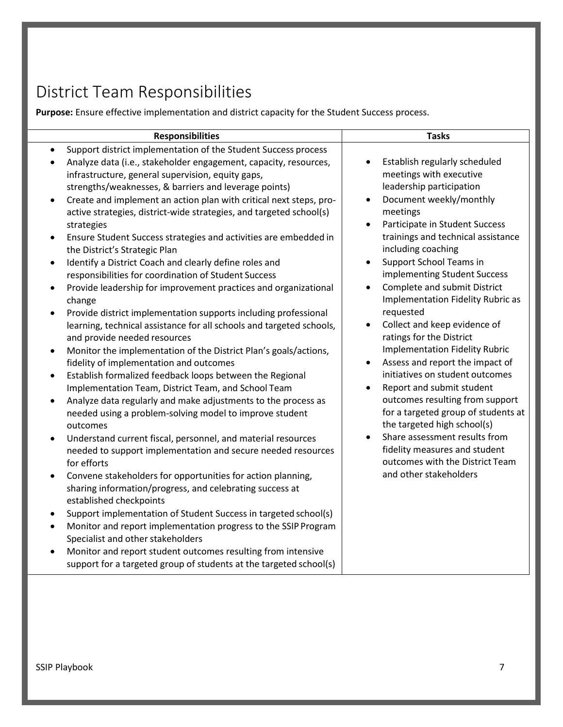# District Team Responsibilities

**Purpose:** Ensure effective implementation and district capacity for the Student Success process.

| <b>Responsibilities</b>                                                                                                                                                                                                                                                                                                                                                                                                                                                                                                                                                                                                                                                                                                                                                                                                                                                                                                                                                                                                                                                                                                                                                                                                                                                                                                                                                                                                                                                                                                                                                                                                                                                                                                                                                                                                                                                                                                                                                                           | <b>Tasks</b>                                                                                                                                                                                                                                                                                                                                                                                                                                                                                                                                                                                                                                                                                                                                                                                                                                            |
|---------------------------------------------------------------------------------------------------------------------------------------------------------------------------------------------------------------------------------------------------------------------------------------------------------------------------------------------------------------------------------------------------------------------------------------------------------------------------------------------------------------------------------------------------------------------------------------------------------------------------------------------------------------------------------------------------------------------------------------------------------------------------------------------------------------------------------------------------------------------------------------------------------------------------------------------------------------------------------------------------------------------------------------------------------------------------------------------------------------------------------------------------------------------------------------------------------------------------------------------------------------------------------------------------------------------------------------------------------------------------------------------------------------------------------------------------------------------------------------------------------------------------------------------------------------------------------------------------------------------------------------------------------------------------------------------------------------------------------------------------------------------------------------------------------------------------------------------------------------------------------------------------------------------------------------------------------------------------------------------------|---------------------------------------------------------------------------------------------------------------------------------------------------------------------------------------------------------------------------------------------------------------------------------------------------------------------------------------------------------------------------------------------------------------------------------------------------------------------------------------------------------------------------------------------------------------------------------------------------------------------------------------------------------------------------------------------------------------------------------------------------------------------------------------------------------------------------------------------------------|
| Support district implementation of the Student Success process<br>$\bullet$<br>Analyze data (i.e., stakeholder engagement, capacity, resources,<br>infrastructure, general supervision, equity gaps,<br>strengths/weaknesses, & barriers and leverage points)<br>Create and implement an action plan with critical next steps, pro-<br>$\bullet$<br>active strategies, district-wide strategies, and targeted school(s)<br>strategies<br>Ensure Student Success strategies and activities are embedded in<br>the District's Strategic Plan<br>Identify a District Coach and clearly define roles and<br>$\bullet$<br>responsibilities for coordination of Student Success<br>Provide leadership for improvement practices and organizational<br>change<br>Provide district implementation supports including professional<br>$\bullet$<br>learning, technical assistance for all schools and targeted schools,<br>and provide needed resources<br>Monitor the implementation of the District Plan's goals/actions,<br>$\bullet$<br>fidelity of implementation and outcomes<br>Establish formalized feedback loops between the Regional<br>$\bullet$<br>Implementation Team, District Team, and School Team<br>Analyze data regularly and make adjustments to the process as<br>$\bullet$<br>needed using a problem-solving model to improve student<br>outcomes<br>Understand current fiscal, personnel, and material resources<br>$\bullet$<br>needed to support implementation and secure needed resources<br>for efforts<br>Convene stakeholders for opportunities for action planning,<br>sharing information/progress, and celebrating success at<br>established checkpoints<br>Support implementation of Student Success in targeted school(s)<br>Monitor and report implementation progress to the SSIP Program<br>Specialist and other stakeholders<br>Monitor and report student outcomes resulting from intensive<br>support for a targeted group of students at the targeted school(s) | Establish regularly scheduled<br>meetings with executive<br>leadership participation<br>Document weekly/monthly<br>meetings<br>Participate in Student Success<br>trainings and technical assistance<br>including coaching<br>Support School Teams in<br>implementing Student Success<br>Complete and submit District<br>$\bullet$<br><b>Implementation Fidelity Rubric as</b><br>requested<br>Collect and keep evidence of<br>ratings for the District<br><b>Implementation Fidelity Rubric</b><br>Assess and report the impact of<br>initiatives on student outcomes<br>Report and submit student<br>$\bullet$<br>outcomes resulting from support<br>for a targeted group of students at<br>the targeted high school(s)<br>Share assessment results from<br>fidelity measures and student<br>outcomes with the District Team<br>and other stakeholders |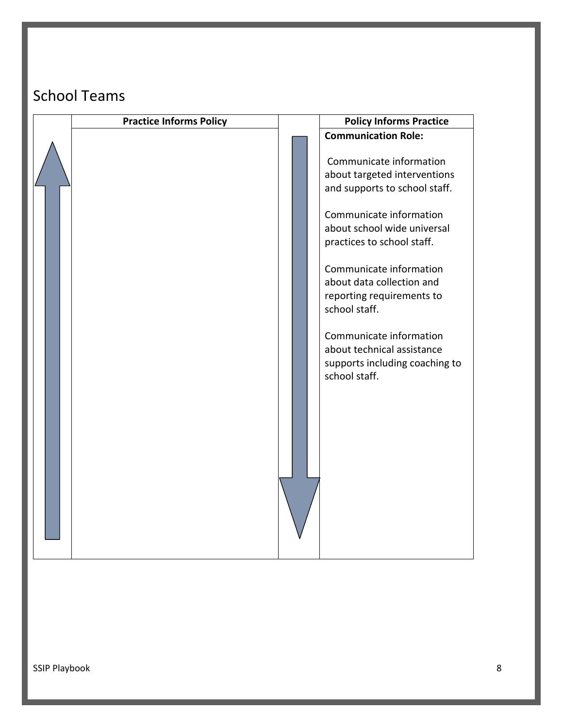# School Teams

| <b>Practice Informs Policy</b> | <b>Policy Informs Practice</b>                                                                                                                                                                                                                                                                                                                                                                     |
|--------------------------------|----------------------------------------------------------------------------------------------------------------------------------------------------------------------------------------------------------------------------------------------------------------------------------------------------------------------------------------------------------------------------------------------------|
|                                | <b>Communication Role:</b>                                                                                                                                                                                                                                                                                                                                                                         |
|                                | Communicate information<br>about targeted interventions<br>and supports to school staff.<br>Communicate information<br>about school wide universal<br>practices to school staff.<br>Communicate information<br>about data collection and<br>reporting requirements to<br>school staff.<br>Communicate information<br>about technical assistance<br>supports including coaching to<br>school staff. |
|                                |                                                                                                                                                                                                                                                                                                                                                                                                    |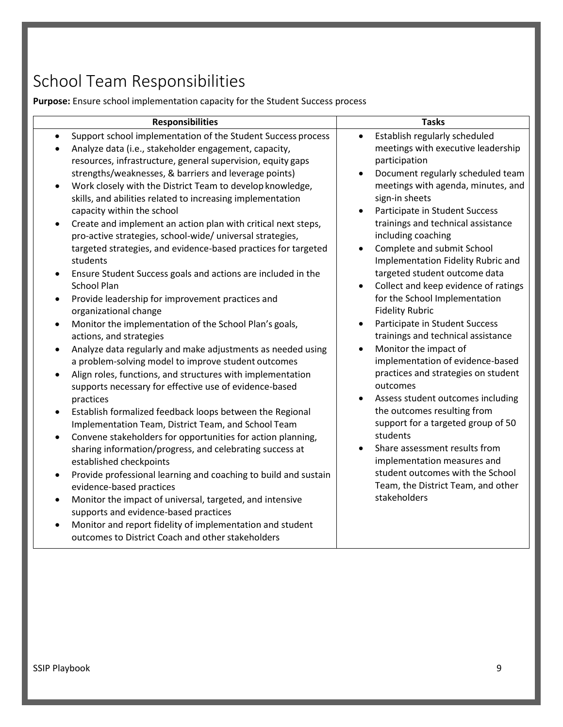# School Team Responsibilities

**Purpose:** Ensure school implementation capacity for the Student Success process

| <b>Responsibilities</b>                                                                                                                                                                                                                                                                                                                                                                                                                                                                                                                                                                                                                                                                                                                                                                                                                                                                                                                                                                                                                                                                                                                                                                                                                                                                                                                                                                                                                                                                                                                                                                                                                                                                                                                                                                                                                                                     | <b>Tasks</b>                                                                                                                                                                                                                                                                                                                                                                                                                                                                                                                                                                                                                                                                                                                                                                                                                                                                                                                                                                                                        |
|-----------------------------------------------------------------------------------------------------------------------------------------------------------------------------------------------------------------------------------------------------------------------------------------------------------------------------------------------------------------------------------------------------------------------------------------------------------------------------------------------------------------------------------------------------------------------------------------------------------------------------------------------------------------------------------------------------------------------------------------------------------------------------------------------------------------------------------------------------------------------------------------------------------------------------------------------------------------------------------------------------------------------------------------------------------------------------------------------------------------------------------------------------------------------------------------------------------------------------------------------------------------------------------------------------------------------------------------------------------------------------------------------------------------------------------------------------------------------------------------------------------------------------------------------------------------------------------------------------------------------------------------------------------------------------------------------------------------------------------------------------------------------------------------------------------------------------------------------------------------------------|---------------------------------------------------------------------------------------------------------------------------------------------------------------------------------------------------------------------------------------------------------------------------------------------------------------------------------------------------------------------------------------------------------------------------------------------------------------------------------------------------------------------------------------------------------------------------------------------------------------------------------------------------------------------------------------------------------------------------------------------------------------------------------------------------------------------------------------------------------------------------------------------------------------------------------------------------------------------------------------------------------------------|
| Support school implementation of the Student Success process<br>$\bullet$<br>Analyze data (i.e., stakeholder engagement, capacity,<br>resources, infrastructure, general supervision, equity gaps<br>strengths/weaknesses, & barriers and leverage points)<br>Work closely with the District Team to develop knowledge,<br>$\bullet$<br>skills, and abilities related to increasing implementation<br>capacity within the school<br>Create and implement an action plan with critical next steps,<br>$\bullet$<br>pro-active strategies, school-wide/ universal strategies,<br>targeted strategies, and evidence-based practices for targeted<br>students<br>Ensure Student Success goals and actions are included in the<br><b>School Plan</b><br>Provide leadership for improvement practices and<br>$\bullet$<br>organizational change<br>Monitor the implementation of the School Plan's goals,<br>$\bullet$<br>actions, and strategies<br>Analyze data regularly and make adjustments as needed using<br>$\bullet$<br>a problem-solving model to improve student outcomes<br>Align roles, functions, and structures with implementation<br>$\bullet$<br>supports necessary for effective use of evidence-based<br>practices<br>Establish formalized feedback loops between the Regional<br>$\bullet$<br>Implementation Team, District Team, and School Team<br>Convene stakeholders for opportunities for action planning,<br>$\bullet$<br>sharing information/progress, and celebrating success at<br>established checkpoints<br>Provide professional learning and coaching to build and sustain<br>٠<br>evidence-based practices<br>Monitor the impact of universal, targeted, and intensive<br>$\bullet$<br>supports and evidence-based practices<br>Monitor and report fidelity of implementation and student<br>outcomes to District Coach and other stakeholders | Establish regularly scheduled<br>$\bullet$<br>meetings with executive leadership<br>participation<br>Document regularly scheduled team<br>$\bullet$<br>meetings with agenda, minutes, and<br>sign-in sheets<br>Participate in Student Success<br>trainings and technical assistance<br>including coaching<br>Complete and submit School<br>$\bullet$<br>Implementation Fidelity Rubric and<br>targeted student outcome data<br>Collect and keep evidence of ratings<br>for the School Implementation<br><b>Fidelity Rubric</b><br>Participate in Student Success<br>trainings and technical assistance<br>Monitor the impact of<br>$\bullet$<br>implementation of evidence-based<br>practices and strategies on student<br>outcomes<br>Assess student outcomes including<br>the outcomes resulting from<br>support for a targeted group of 50<br>students<br>Share assessment results from<br>implementation measures and<br>student outcomes with the School<br>Team, the District Team, and other<br>stakeholders |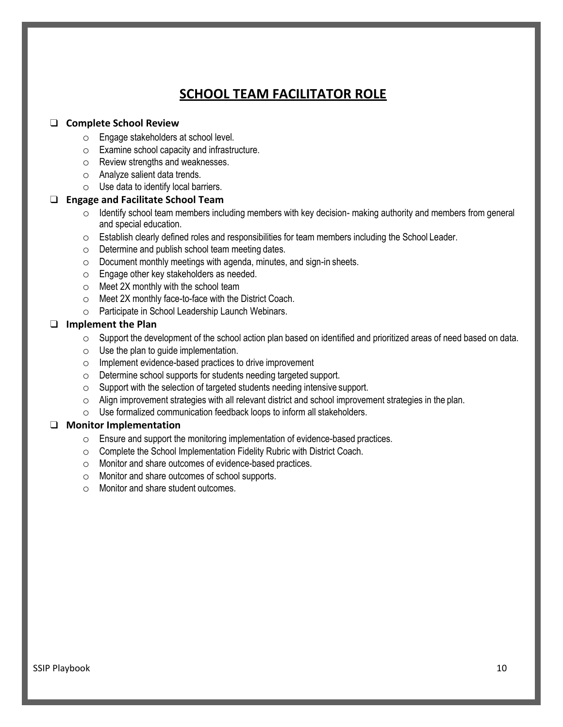### **SCHOOL TEAM FACILITATOR ROLE**

#### ❑ **Complete School Review**

- o Engage stakeholders at school level.
- o Examine school capacity and infrastructure.
- o Review strengths and weaknesses.
- o Analyze salient data trends.
- o Use data to identify local barriers.

#### ❑ **Engage and Facilitate School Team**

- $\circ$  Identify school team members including members with key decision- making authority and members from general and special education.
- $\circ$  Establish clearly defined roles and responsibilities for team members including the School Leader.
- o Determine and publish school team meeting dates.
- o Document monthly meetings with agenda, minutes, and sign-in sheets.
- o Engage other key stakeholders as needed.
- $\circ$  Meet 2X monthly with the school team
- o Meet 2X monthly face-to-face with the District Coach.
- o Participate in School Leadership Launch Webinars.

#### ❑ **Implement the Plan**

- o Support the development of the school action plan based on identified and prioritized areas of need based on data.
- $\circ$  Use the plan to guide implementation.
- o Implement evidence-based practices to drive improvement
- o Determine school supports for students needing targeted support.
- o Support with the selection of targeted students needing intensive support.
- $\circ$  Align improvement strategies with all relevant district and school improvement strategies in the plan.
- o Use formalized communication feedback loops to inform all stakeholders.

#### ❑ **Monitor Implementation**

- o Ensure and support the monitoring implementation of evidence-based practices.
- o Complete the School Implementation Fidelity Rubric with District Coach.
- o Monitor and share outcomes of evidence-based practices.
- o Monitor and share outcomes of school supports.
- o Monitor and share student outcomes.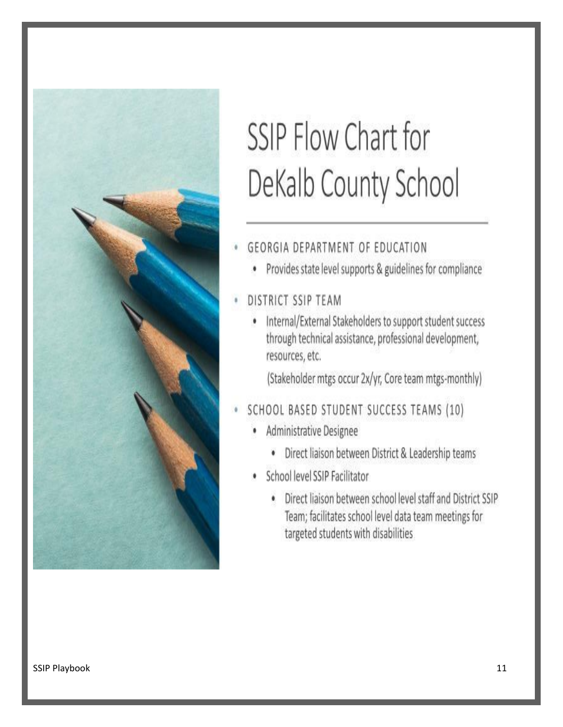

# SSIP Flow Chart for DeKalb County School

## **GEORGIA DEPARTMENT OF EDUCATION**

- Provides state level supports & guidelines for compliance
- DISTRICT SSIP TEAM
	- Internal/External Stakeholders to support student success through technical assistance, professional development, resources, etc.

(Stakeholder mtgs occur 2x/yr, Core team mtgs-monthly)

## SCHOOL BASED STUDENT SUCCESS TEAMS (10)

- Administrative Designee ٠
	- · Direct liaison between District & Leadership teams
- School level SSIP Facilitator
	- . Direct liaison between school level staff and District SSIP Team; facilitates school level data team meetings for targeted students with disabilities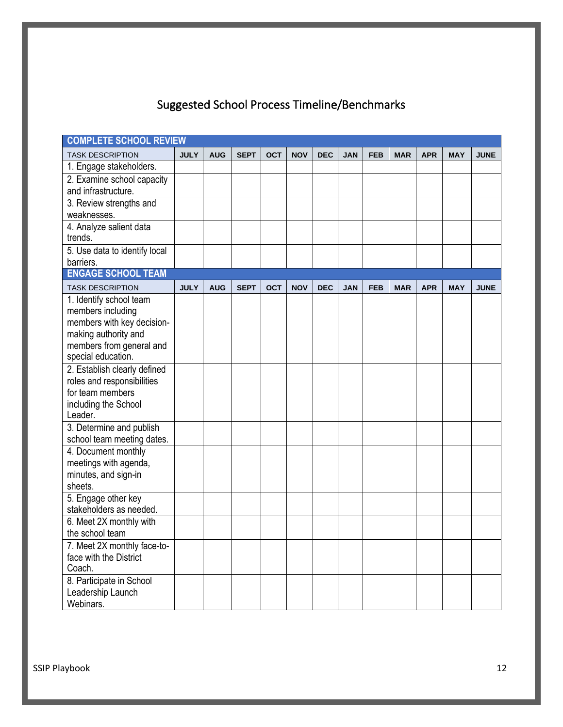# Suggested School Process Timeline/Benchmarks

| <b>COMPLETE SCHOOL REVIEW</b>   |             |            |             |            |            |            |            |            |            |            |            |             |
|---------------------------------|-------------|------------|-------------|------------|------------|------------|------------|------------|------------|------------|------------|-------------|
| <b>TASK DESCRIPTION</b>         | <b>JULY</b> | <b>AUG</b> | <b>SEPT</b> | <b>OCT</b> | <b>NOV</b> | <b>DEC</b> | <b>JAN</b> | <b>FEB</b> | <b>MAR</b> | <b>APR</b> | <b>MAY</b> | <b>JUNE</b> |
| 1. Engage stakeholders.         |             |            |             |            |            |            |            |            |            |            |            |             |
| 2. Examine school capacity      |             |            |             |            |            |            |            |            |            |            |            |             |
| and infrastructure.             |             |            |             |            |            |            |            |            |            |            |            |             |
| 3. Review strengths and         |             |            |             |            |            |            |            |            |            |            |            |             |
| weaknesses.                     |             |            |             |            |            |            |            |            |            |            |            |             |
| 4. Analyze salient data         |             |            |             |            |            |            |            |            |            |            |            |             |
| trends.                         |             |            |             |            |            |            |            |            |            |            |            |             |
| 5. Use data to identify local   |             |            |             |            |            |            |            |            |            |            |            |             |
| barriers.                       |             |            |             |            |            |            |            |            |            |            |            |             |
| <b>ENGAGE SCHOOL TEAM</b>       |             |            |             |            |            |            |            |            |            |            |            |             |
| <b>TASK DESCRIPTION</b>         | <b>JULY</b> | <b>AUG</b> | <b>SEPT</b> | <b>OCT</b> | <b>NOV</b> | <b>DEC</b> | <b>JAN</b> | <b>FEB</b> | <b>MAR</b> | <b>APR</b> | <b>MAY</b> | <b>JUNE</b> |
| 1. Identify school team         |             |            |             |            |            |            |            |            |            |            |            |             |
| members including               |             |            |             |            |            |            |            |            |            |            |            |             |
| members with key decision-      |             |            |             |            |            |            |            |            |            |            |            |             |
| making authority and            |             |            |             |            |            |            |            |            |            |            |            |             |
| members from general and        |             |            |             |            |            |            |            |            |            |            |            |             |
| special education.              |             |            |             |            |            |            |            |            |            |            |            |             |
| 2. Establish clearly defined    |             |            |             |            |            |            |            |            |            |            |            |             |
| roles and responsibilities      |             |            |             |            |            |            |            |            |            |            |            |             |
| for team members                |             |            |             |            |            |            |            |            |            |            |            |             |
| including the School<br>Leader. |             |            |             |            |            |            |            |            |            |            |            |             |
| 3. Determine and publish        |             |            |             |            |            |            |            |            |            |            |            |             |
| school team meeting dates.      |             |            |             |            |            |            |            |            |            |            |            |             |
| 4. Document monthly             |             |            |             |            |            |            |            |            |            |            |            |             |
| meetings with agenda,           |             |            |             |            |            |            |            |            |            |            |            |             |
| minutes, and sign-in            |             |            |             |            |            |            |            |            |            |            |            |             |
| sheets.                         |             |            |             |            |            |            |            |            |            |            |            |             |
| 5. Engage other key             |             |            |             |            |            |            |            |            |            |            |            |             |
| stakeholders as needed.         |             |            |             |            |            |            |            |            |            |            |            |             |
| 6. Meet 2X monthly with         |             |            |             |            |            |            |            |            |            |            |            |             |
| the school team                 |             |            |             |            |            |            |            |            |            |            |            |             |
| 7. Meet 2X monthly face-to-     |             |            |             |            |            |            |            |            |            |            |            |             |
| face with the District          |             |            |             |            |            |            |            |            |            |            |            |             |
| Coach.                          |             |            |             |            |            |            |            |            |            |            |            |             |
| 8. Participate in School        |             |            |             |            |            |            |            |            |            |            |            |             |
| Leadership Launch               |             |            |             |            |            |            |            |            |            |            |            |             |
| Webinars.                       |             |            |             |            |            |            |            |            |            |            |            |             |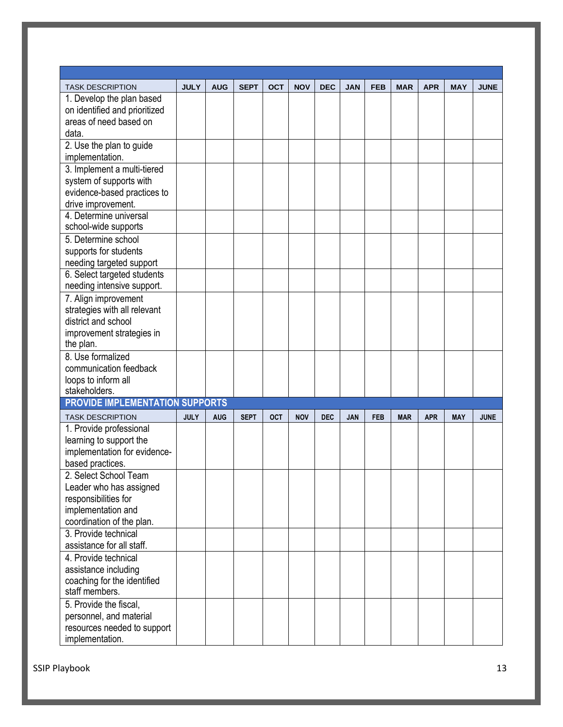| <b>TASK DESCRIPTION</b>                                   | <b>JULY</b> | <b>AUG</b> | <b>SEPT</b> | <b>OCT</b> | <b>NOV</b> | <b>DEC</b> | <b>JAN</b> | <b>FEB</b> | <b>MAR</b> | <b>APR</b> | <b>MAY</b> | <b>JUNE</b> |
|-----------------------------------------------------------|-------------|------------|-------------|------------|------------|------------|------------|------------|------------|------------|------------|-------------|
| 1. Develop the plan based                                 |             |            |             |            |            |            |            |            |            |            |            |             |
| on identified and prioritized                             |             |            |             |            |            |            |            |            |            |            |            |             |
| areas of need based on                                    |             |            |             |            |            |            |            |            |            |            |            |             |
| data.                                                     |             |            |             |            |            |            |            |            |            |            |            |             |
| 2. Use the plan to guide                                  |             |            |             |            |            |            |            |            |            |            |            |             |
| implementation.                                           |             |            |             |            |            |            |            |            |            |            |            |             |
| 3. Implement a multi-tiered                               |             |            |             |            |            |            |            |            |            |            |            |             |
| system of supports with                                   |             |            |             |            |            |            |            |            |            |            |            |             |
| evidence-based practices to                               |             |            |             |            |            |            |            |            |            |            |            |             |
| drive improvement.                                        |             |            |             |            |            |            |            |            |            |            |            |             |
| 4. Determine universal                                    |             |            |             |            |            |            |            |            |            |            |            |             |
| school-wide supports                                      |             |            |             |            |            |            |            |            |            |            |            |             |
| 5. Determine school                                       |             |            |             |            |            |            |            |            |            |            |            |             |
| supports for students                                     |             |            |             |            |            |            |            |            |            |            |            |             |
| needing targeted support                                  |             |            |             |            |            |            |            |            |            |            |            |             |
| 6. Select targeted students<br>needing intensive support. |             |            |             |            |            |            |            |            |            |            |            |             |
| 7. Align improvement                                      |             |            |             |            |            |            |            |            |            |            |            |             |
| strategies with all relevant                              |             |            |             |            |            |            |            |            |            |            |            |             |
| district and school                                       |             |            |             |            |            |            |            |            |            |            |            |             |
| improvement strategies in                                 |             |            |             |            |            |            |            |            |            |            |            |             |
| the plan.                                                 |             |            |             |            |            |            |            |            |            |            |            |             |
| 8. Use formalized                                         |             |            |             |            |            |            |            |            |            |            |            |             |
| communication feedback                                    |             |            |             |            |            |            |            |            |            |            |            |             |
| loops to inform all                                       |             |            |             |            |            |            |            |            |            |            |            |             |
| stakeholders.<br><b>PROVIDE IMPLEMENTATION SUPPORTS</b>   |             |            |             |            |            |            |            |            |            |            |            |             |
|                                                           |             |            |             |            |            |            |            |            |            |            |            |             |
| <b>TASK DESCRIPTION</b>                                   | <b>JULY</b> | <b>AUG</b> | <b>SEPT</b> | OCT        | <b>NOV</b> | <b>DEC</b> | JAN        | <b>FEB</b> | <b>MAR</b> | <b>APR</b> | <b>MAY</b> | <b>JUNE</b> |
| 1. Provide professional                                   |             |            |             |            |            |            |            |            |            |            |            |             |
| learning to support the                                   |             |            |             |            |            |            |            |            |            |            |            |             |
| implementation for evidence-                              |             |            |             |            |            |            |            |            |            |            |            |             |
| based practices.<br>2. Select School Team                 |             |            |             |            |            |            |            |            |            |            |            |             |
|                                                           |             |            |             |            |            |            |            |            |            |            |            |             |
| Leader who has assigned<br>responsibilities for           |             |            |             |            |            |            |            |            |            |            |            |             |
| implementation and                                        |             |            |             |            |            |            |            |            |            |            |            |             |
| coordination of the plan.                                 |             |            |             |            |            |            |            |            |            |            |            |             |
| 3. Provide technical                                      |             |            |             |            |            |            |            |            |            |            |            |             |
| assistance for all staff.                                 |             |            |             |            |            |            |            |            |            |            |            |             |
| 4. Provide technical                                      |             |            |             |            |            |            |            |            |            |            |            |             |
| assistance including                                      |             |            |             |            |            |            |            |            |            |            |            |             |
| coaching for the identified                               |             |            |             |            |            |            |            |            |            |            |            |             |
| staff members.                                            |             |            |             |            |            |            |            |            |            |            |            |             |
| 5. Provide the fiscal,                                    |             |            |             |            |            |            |            |            |            |            |            |             |
| personnel, and material                                   |             |            |             |            |            |            |            |            |            |            |            |             |
| resources needed to support                               |             |            |             |            |            |            |            |            |            |            |            |             |
| implementation.                                           |             |            |             |            |            |            |            |            |            |            |            |             |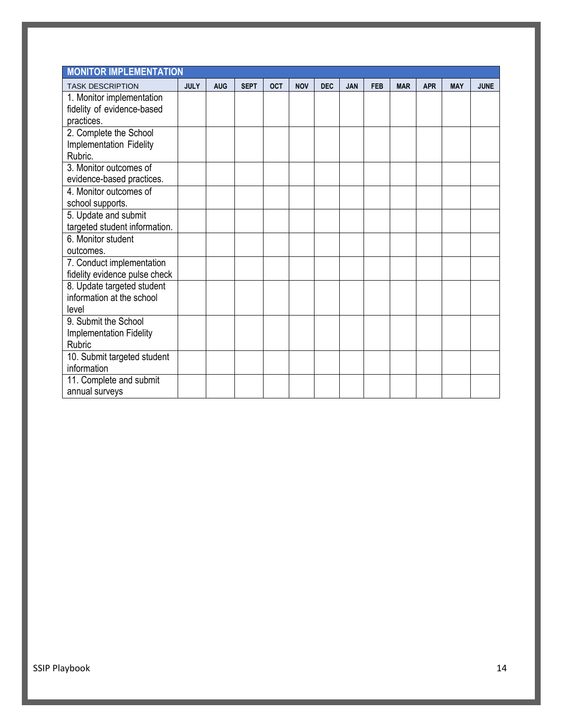| <b>MONITOR IMPLEMENTATION</b>              |             |            |             |            |            |            |            |            |            |            |            |             |
|--------------------------------------------|-------------|------------|-------------|------------|------------|------------|------------|------------|------------|------------|------------|-------------|
| <b>TASK DESCRIPTION</b>                    | <b>JULY</b> | <b>AUG</b> | <b>SEPT</b> | <b>OCT</b> | <b>NOV</b> | <b>DEC</b> | <b>JAN</b> | <b>FEB</b> | <b>MAR</b> | <b>APR</b> | <b>MAY</b> | <b>JUNE</b> |
| 1. Monitor implementation                  |             |            |             |            |            |            |            |            |            |            |            |             |
| fidelity of evidence-based                 |             |            |             |            |            |            |            |            |            |            |            |             |
| practices.                                 |             |            |             |            |            |            |            |            |            |            |            |             |
| 2. Complete the School                     |             |            |             |            |            |            |            |            |            |            |            |             |
| Implementation Fidelity                    |             |            |             |            |            |            |            |            |            |            |            |             |
| Rubric.                                    |             |            |             |            |            |            |            |            |            |            |            |             |
| 3. Monitor outcomes of                     |             |            |             |            |            |            |            |            |            |            |            |             |
| evidence-based practices.                  |             |            |             |            |            |            |            |            |            |            |            |             |
| 4. Monitor outcomes of                     |             |            |             |            |            |            |            |            |            |            |            |             |
| school supports.                           |             |            |             |            |            |            |            |            |            |            |            |             |
| 5. Update and submit                       |             |            |             |            |            |            |            |            |            |            |            |             |
| targeted student information.              |             |            |             |            |            |            |            |            |            |            |            |             |
| 6. Monitor student                         |             |            |             |            |            |            |            |            |            |            |            |             |
| outcomes.                                  |             |            |             |            |            |            |            |            |            |            |            |             |
| 7. Conduct implementation                  |             |            |             |            |            |            |            |            |            |            |            |             |
| fidelity evidence pulse check              |             |            |             |            |            |            |            |            |            |            |            |             |
| 8. Update targeted student                 |             |            |             |            |            |            |            |            |            |            |            |             |
| information at the school                  |             |            |             |            |            |            |            |            |            |            |            |             |
| level                                      |             |            |             |            |            |            |            |            |            |            |            |             |
| 9. Submit the School                       |             |            |             |            |            |            |            |            |            |            |            |             |
| <b>Implementation Fidelity</b><br>Rubric   |             |            |             |            |            |            |            |            |            |            |            |             |
|                                            |             |            |             |            |            |            |            |            |            |            |            |             |
| 10. Submit targeted student<br>information |             |            |             |            |            |            |            |            |            |            |            |             |
|                                            |             |            |             |            |            |            |            |            |            |            |            |             |
| 11. Complete and submit                    |             |            |             |            |            |            |            |            |            |            |            |             |
| annual surveys                             |             |            |             |            |            |            |            |            |            |            |            |             |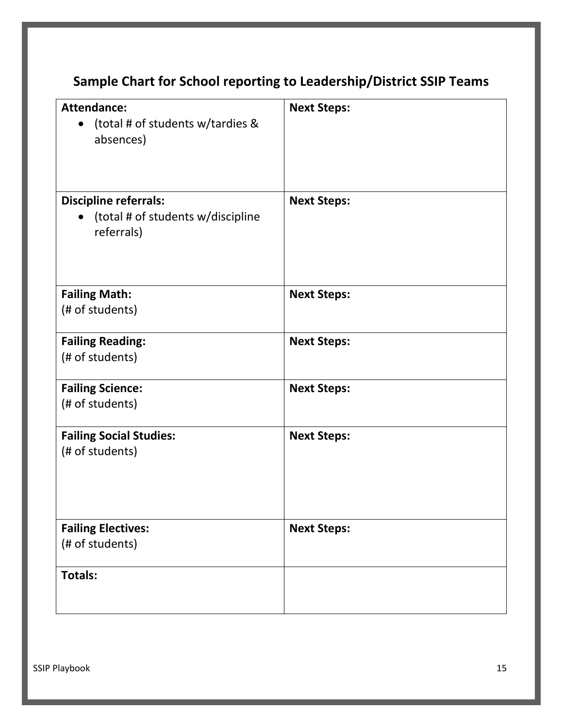# **Sample Chart for School reporting to Leadership/District SSIP Teams**

| <b>Attendance:</b><br>(total # of students w/tardies &<br>$\bullet$<br>absences)             | <b>Next Steps:</b> |
|----------------------------------------------------------------------------------------------|--------------------|
| <b>Discipline referrals:</b><br>(total # of students w/discipline<br>$\bullet$<br>referrals) | <b>Next Steps:</b> |
| <b>Failing Math:</b><br>(# of students)                                                      | <b>Next Steps:</b> |
| <b>Failing Reading:</b><br>(# of students)                                                   | <b>Next Steps:</b> |
| <b>Failing Science:</b><br>(# of students)                                                   | <b>Next Steps:</b> |
| <b>Failing Social Studies:</b><br>(# of students)                                            | <b>Next Steps:</b> |
| <b>Failing Electives:</b><br>(# of students)                                                 | <b>Next Steps:</b> |
| <b>Totals:</b>                                                                               |                    |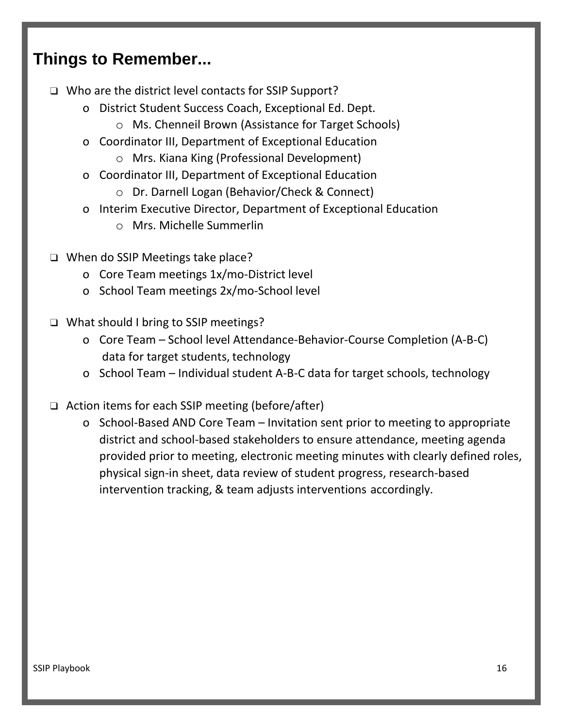# **Things to Remember...**

- ❑ Who are the district level contacts for SSIP Support?
	- o District Student Success Coach, Exceptional Ed. Dept.
		- o Ms. Chenneil Brown (Assistance for Target Schools)
	- o Coordinator III, Department of Exceptional Education
		- o Mrs. Kiana King (Professional Development)
	- o Coordinator III, Department of Exceptional Education
		- o Dr. Darnell Logan (Behavior/Check & Connect)
	- o Interim Executive Director, Department of Exceptional Education
		- o Mrs. Michelle Summerlin
- ❑ When do SSIP Meetings take place?
	- o Core Team meetings 1x/mo-District level
	- o School Team meetings 2x/mo-School level
- ❑ What should I bring to SSIP meetings?
	- o Core Team School level Attendance-Behavior-Course Completion (A-B-C) data for target students, technology
	- o School Team Individual student A-B-C data for target schools, technology
- ❑ Action items for each SSIP meeting (before/after)
	- o School-Based AND Core Team Invitation sent prior to meeting to appropriate district and school-based stakeholders to ensure attendance, meeting agenda provided prior to meeting, electronic meeting minutes with clearly defined roles, physical sign-in sheet, data review of student progress, research-based intervention tracking, & team adjusts interventions accordingly.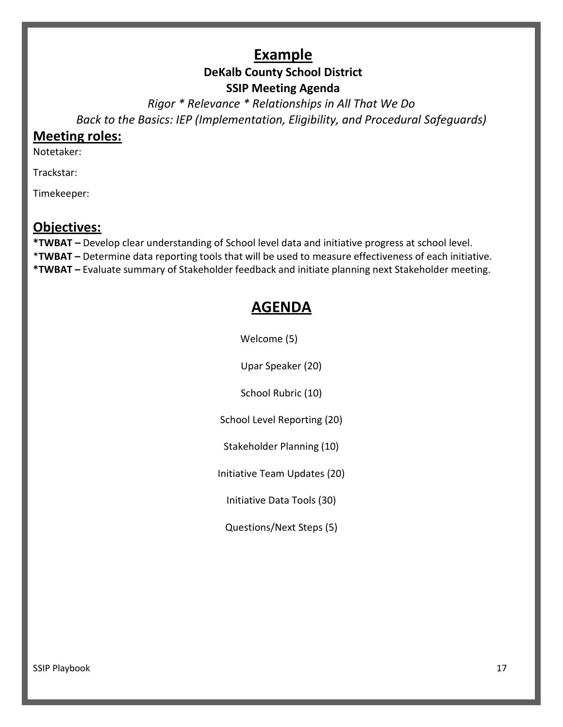## **Example**

## **DeKalb County School District**

#### **SSIP Meeting Agenda**

*Rigor \* Relevance \* Relationships in All That We Do Back to the Basics: IEP (Implementation, Eligibility, and Procedural Safeguards)*

#### **Meeting roles:**

Notetaker:

Trackstar:

Timekeeper:

#### **Objectives:**

**\*TWBAT –** Develop clear understanding of School level data and initiative progress at school level. \***TWBAT –** Determine data reporting tools that will be used to measure effectiveness of each initiative. **\*TWBAT –** Evaluate summary of Stakeholder feedback and initiate planning next Stakeholder meeting.

# **AGENDA**

Welcome (5)

Upar Speaker (20)

School Rubric (10)

School Level Reporting (20)

Stakeholder Planning (10)

Initiative Team Updates (20)

Initiative Data Tools (30)

Questions/Next Steps (5)

SSIP Playbook 17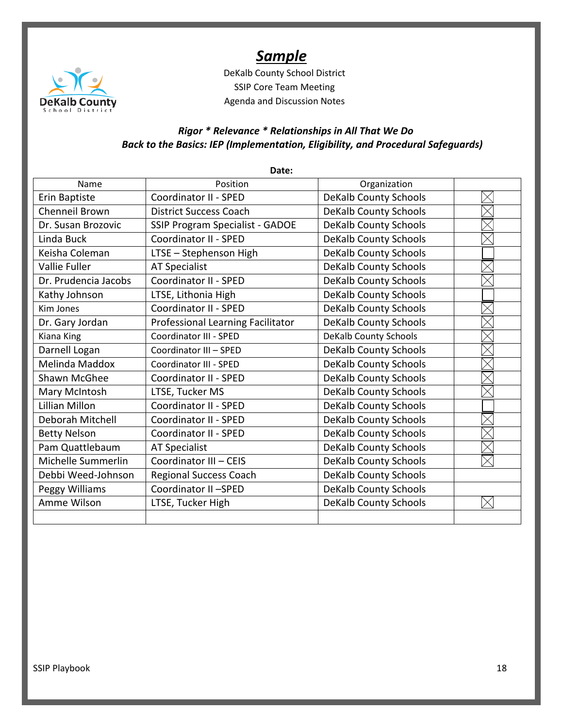

# *Sample*

DeKalb County School District SSIP Core Team Meeting Agenda and Discussion Notes

#### *Rigor \* Relevance \* Relationships in All That We Do Back to the Basics: IEP (Implementation, Eligibility, and Procedural Safeguards)*

|                       | Date:                                  |                              |  |
|-----------------------|----------------------------------------|------------------------------|--|
| Name                  | Position                               | Organization                 |  |
| Erin Baptiste         | Coordinator II - SPED                  | <b>DeKalb County Schools</b> |  |
| <b>Chenneil Brown</b> | <b>District Success Coach</b>          | <b>DeKalb County Schools</b> |  |
| Dr. Susan Brozovic    | <b>SSIP Program Specialist - GADOE</b> | <b>DeKalb County Schools</b> |  |
| Linda Buck            | Coordinator II - SPED                  | <b>DeKalb County Schools</b> |  |
| Keisha Coleman        | LTSE - Stephenson High                 | <b>DeKalb County Schools</b> |  |
| Vallie Fuller         | <b>AT Specialist</b>                   | <b>DeKalb County Schools</b> |  |
| Dr. Prudencia Jacobs  | Coordinator II - SPED                  | <b>DeKalb County Schools</b> |  |
| Kathy Johnson         | LTSE, Lithonia High                    | <b>DeKalb County Schools</b> |  |
| Kim Jones             | Coordinator II - SPED                  | <b>DeKalb County Schools</b> |  |
| Dr. Gary Jordan       | Professional Learning Facilitator      | <b>DeKalb County Schools</b> |  |
| Kiana King            | Coordinator III - SPED                 | <b>DeKalb County Schools</b> |  |
| Darnell Logan         | Coordinator III - SPED                 | <b>DeKalb County Schools</b> |  |
| Melinda Maddox        | Coordinator III - SPED                 | <b>DeKalb County Schools</b> |  |
| Shawn McGhee          | Coordinator II - SPED                  | <b>DeKalb County Schools</b> |  |
| Mary McIntosh         | LTSE, Tucker MS                        | <b>DeKalb County Schools</b> |  |
| <b>Lillian Millon</b> | Coordinator II - SPED                  | <b>DeKalb County Schools</b> |  |
| Deborah Mitchell      | Coordinator II - SPED                  | <b>DeKalb County Schools</b> |  |
| <b>Betty Nelson</b>   | Coordinator II - SPED                  | <b>DeKalb County Schools</b> |  |
| Pam Quattlebaum       | <b>AT Specialist</b>                   | <b>DeKalb County Schools</b> |  |
| Michelle Summerlin    | Coordinator III - CEIS                 | <b>DeKalb County Schools</b> |  |
| Debbi Weed-Johnson    | Regional Success Coach                 | <b>DeKalb County Schools</b> |  |
| Peggy Williams        | Coordinator II-SPED                    | <b>DeKalb County Schools</b> |  |
| Amme Wilson           | LTSE, Tucker High                      | <b>DeKalb County Schools</b> |  |
|                       |                                        |                              |  |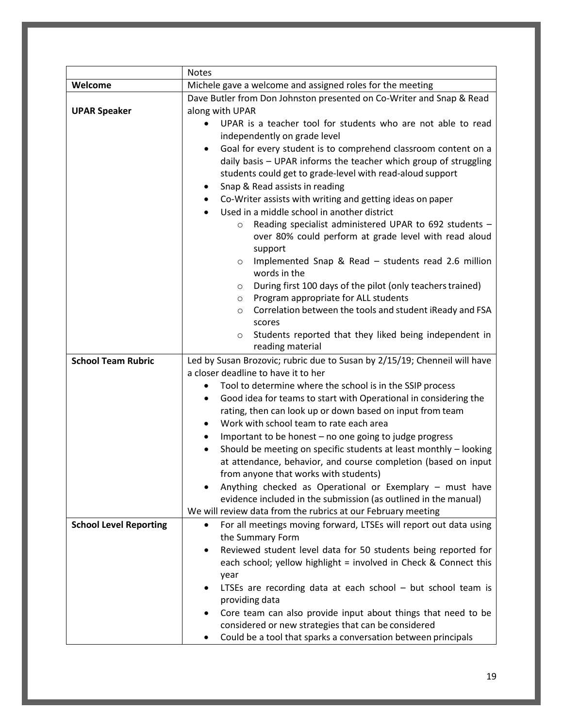|                               | <b>Notes</b>                                                                   |  |  |  |  |  |  |
|-------------------------------|--------------------------------------------------------------------------------|--|--|--|--|--|--|
| Welcome                       | Michele gave a welcome and assigned roles for the meeting                      |  |  |  |  |  |  |
|                               | Dave Butler from Don Johnston presented on Co-Writer and Snap & Read           |  |  |  |  |  |  |
| <b>UPAR Speaker</b>           | along with UPAR                                                                |  |  |  |  |  |  |
|                               | UPAR is a teacher tool for students who are not able to read                   |  |  |  |  |  |  |
|                               | independently on grade level                                                   |  |  |  |  |  |  |
|                               | Goal for every student is to comprehend classroom content on a<br>$\bullet$    |  |  |  |  |  |  |
|                               | daily basis - UPAR informs the teacher which group of struggling               |  |  |  |  |  |  |
|                               | students could get to grade-level with read-aloud support                      |  |  |  |  |  |  |
|                               |                                                                                |  |  |  |  |  |  |
|                               | Snap & Read assists in reading                                                 |  |  |  |  |  |  |
|                               | Co-Writer assists with writing and getting ideas on paper                      |  |  |  |  |  |  |
|                               | Used in a middle school in another district                                    |  |  |  |  |  |  |
|                               | Reading specialist administered UPAR to 692 students -<br>$\circ$              |  |  |  |  |  |  |
|                               | over 80% could perform at grade level with read aloud                          |  |  |  |  |  |  |
|                               | support                                                                        |  |  |  |  |  |  |
|                               | Implemented Snap & Read - students read 2.6 million<br>$\circ$                 |  |  |  |  |  |  |
|                               | words in the                                                                   |  |  |  |  |  |  |
|                               | During first 100 days of the pilot (only teachers trained)<br>$\circ$          |  |  |  |  |  |  |
|                               | Program appropriate for ALL students<br>$\circ$                                |  |  |  |  |  |  |
|                               | Correlation between the tools and student iReady and FSA<br>$\circ$            |  |  |  |  |  |  |
|                               | scores                                                                         |  |  |  |  |  |  |
|                               | Students reported that they liked being independent in<br>$\circ$              |  |  |  |  |  |  |
|                               | reading material                                                               |  |  |  |  |  |  |
| <b>School Team Rubric</b>     | Led by Susan Brozovic; rubric due to Susan by 2/15/19; Chenneil will have      |  |  |  |  |  |  |
|                               | a closer deadline to have it to her                                            |  |  |  |  |  |  |
|                               | Tool to determine where the school is in the SSIP process<br>٠                 |  |  |  |  |  |  |
|                               | Good idea for teams to start with Operational in considering the<br>٠          |  |  |  |  |  |  |
|                               | rating, then can look up or down based on input from team                      |  |  |  |  |  |  |
|                               | Work with school team to rate each area                                        |  |  |  |  |  |  |
|                               | Important to be honest - no one going to judge progress<br>$\bullet$           |  |  |  |  |  |  |
|                               | Should be meeting on specific students at least monthly - looking              |  |  |  |  |  |  |
|                               | at attendance, behavior, and course completion (based on input                 |  |  |  |  |  |  |
|                               | from anyone that works with students)                                          |  |  |  |  |  |  |
|                               | Anything checked as Operational or Exemplary - must have                       |  |  |  |  |  |  |
|                               | evidence included in the submission (as outlined in the manual)                |  |  |  |  |  |  |
|                               | We will review data from the rubrics at our February meeting                   |  |  |  |  |  |  |
| <b>School Level Reporting</b> | For all meetings moving forward, LTSEs will report out data using<br>$\bullet$ |  |  |  |  |  |  |
|                               | the Summary Form                                                               |  |  |  |  |  |  |
|                               | Reviewed student level data for 50 students being reported for                 |  |  |  |  |  |  |
|                               | each school; yellow highlight = involved in Check & Connect this               |  |  |  |  |  |  |
|                               | year                                                                           |  |  |  |  |  |  |
|                               | LTSEs are recording data at each school - but school team is                   |  |  |  |  |  |  |
|                               | providing data                                                                 |  |  |  |  |  |  |
|                               |                                                                                |  |  |  |  |  |  |
|                               | Core team can also provide input about things that need to be                  |  |  |  |  |  |  |
|                               | considered or new strategies that can be considered                            |  |  |  |  |  |  |
|                               | Could be a tool that sparks a conversation between principals                  |  |  |  |  |  |  |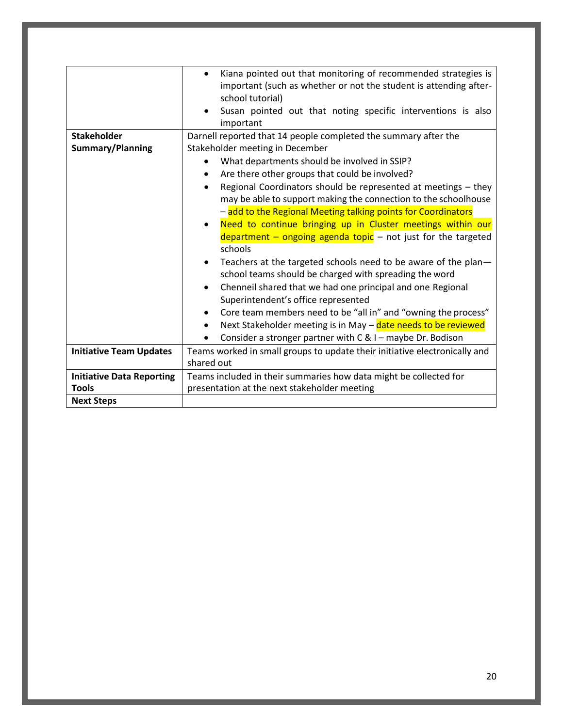|                                  | Kiana pointed out that monitoring of recommended strategies is<br>$\bullet$<br>important (such as whether or not the student is attending after-<br>school tutorial)<br>Susan pointed out that noting specific interventions is also<br>important |
|----------------------------------|---------------------------------------------------------------------------------------------------------------------------------------------------------------------------------------------------------------------------------------------------|
| <b>Stakeholder</b>               | Darnell reported that 14 people completed the summary after the                                                                                                                                                                                   |
| Summary/Planning                 | Stakeholder meeting in December                                                                                                                                                                                                                   |
|                                  | What departments should be involved in SSIP?                                                                                                                                                                                                      |
|                                  | Are there other groups that could be involved?<br>٠                                                                                                                                                                                               |
|                                  | Regional Coordinators should be represented at meetings - they<br>٠                                                                                                                                                                               |
|                                  | may be able to support making the connection to the schoolhouse                                                                                                                                                                                   |
|                                  | - add to the Regional Meeting talking points for Coordinators                                                                                                                                                                                     |
|                                  | Need to continue bringing up in Cluster meetings within our<br>$\bullet$                                                                                                                                                                          |
|                                  | $\frac{1}{2}$ department – ongoing agenda topic – not just for the targeted                                                                                                                                                                       |
|                                  | schools                                                                                                                                                                                                                                           |
|                                  | Teachers at the targeted schools need to be aware of the plan-                                                                                                                                                                                    |
|                                  | school teams should be charged with spreading the word                                                                                                                                                                                            |
|                                  | Chenneil shared that we had one principal and one Regional                                                                                                                                                                                        |
|                                  | Superintendent's office represented                                                                                                                                                                                                               |
|                                  | Core team members need to be "all in" and "owning the process"                                                                                                                                                                                    |
|                                  | Next Stakeholder meeting is in May - date needs to be reviewed                                                                                                                                                                                    |
|                                  | Consider a stronger partner with C & I - maybe Dr. Bodison                                                                                                                                                                                        |
| <b>Initiative Team Updates</b>   | Teams worked in small groups to update their initiative electronically and                                                                                                                                                                        |
|                                  | shared out                                                                                                                                                                                                                                        |
| <b>Initiative Data Reporting</b> | Teams included in their summaries how data might be collected for                                                                                                                                                                                 |
| <b>Tools</b>                     | presentation at the next stakeholder meeting                                                                                                                                                                                                      |
| <b>Next Steps</b>                |                                                                                                                                                                                                                                                   |